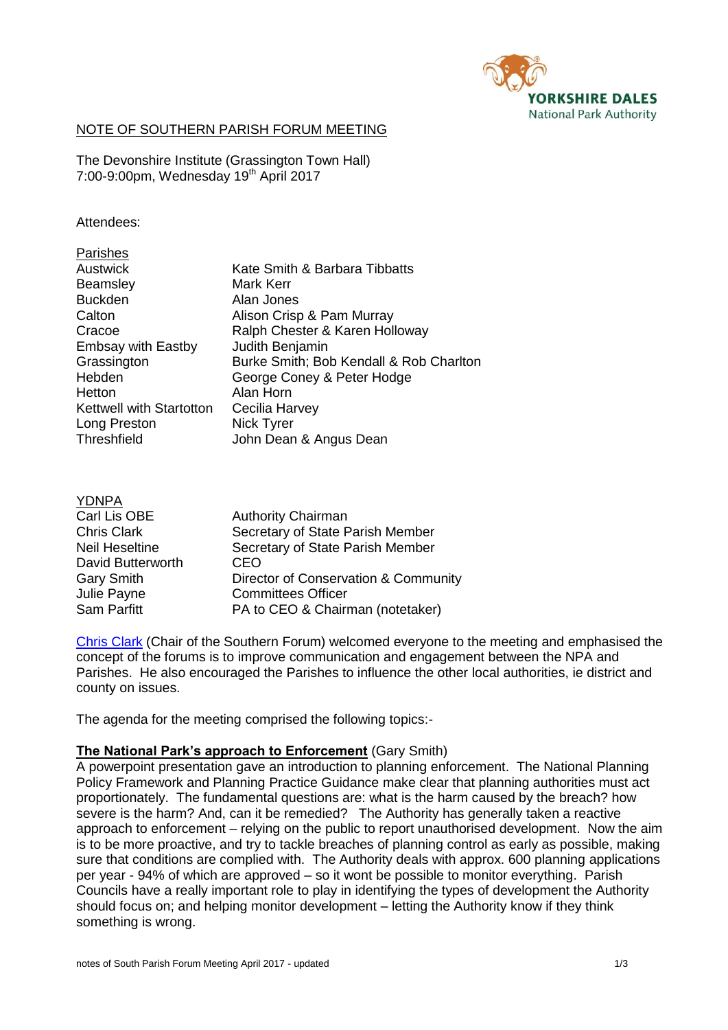

## NOTE OF SOUTHERN PARISH FORUM MEETING

[The Devonshire Institute \(Grassington Town Hall\)](http://www.grassingtondevonshireinstitute.org/) 7:00-9:00pm, Wednesday 19th April 2017

### Attendees:

| Parishes                        |                                         |
|---------------------------------|-----------------------------------------|
| Austwick                        | Kate Smith & Barbara Tibbatts           |
| <b>Beamsley</b>                 | Mark Kerr                               |
| <b>Buckden</b>                  | Alan Jones                              |
| Calton                          | Alison Crisp & Pam Murray               |
| Cracoe                          | Ralph Chester & Karen Holloway          |
| <b>Embsay with Eastby</b>       | Judith Benjamin                         |
| Grassington                     | Burke Smith; Bob Kendall & Rob Charlton |
| Hebden                          | George Coney & Peter Hodge              |
| Hetton                          | Alan Horn                               |
| <b>Kettwell with Startotton</b> | Cecilia Harvey                          |
| Long Preston                    | Nick Tyrer                              |
| <b>Threshfield</b>              | John Dean & Angus Dean                  |
|                                 |                                         |

| Carl Lis OBE          | <b>Authority Chairman</b>            |
|-----------------------|--------------------------------------|
| <b>Chris Clark</b>    | Secretary of State Parish Member     |
| <b>Neil Heseltine</b> | Secretary of State Parish Member     |
| David Butterworth     | CEO                                  |
| <b>Gary Smith</b>     | Director of Conservation & Community |
| Julie Payne           | <b>Committees Officer</b>            |
| Sam Parfitt           | PA to CEO & Chairman (notetaker)     |
|                       |                                      |

[Chris Clark](http://www.yorkshiredales.org.uk/ydnpa/our-people/members/meet-the-members) (Chair of the Southern Forum) welcomed everyone to the meeting and emphasised the concept of the forums is to improve communication and engagement between the NPA and Parishes. He also encouraged the Parishes to influence the other local authorities, ie district and county on issues.

The agenda for the meeting comprised the following topics:-

### **The National Park's approach to Enforcement** (Gary Smith)

A powerpoint presentation gave an introduction to planning enforcement. The National Planning Policy Framework and Planning Practice Guidance make clear that planning authorities must act proportionately. The fundamental questions are: what is the harm caused by the breach? how severe is the harm? And, can it be remedied? The Authority has generally taken a reactive approach to enforcement – relying on the public to report unauthorised development. Now the aim is to be more proactive, and try to tackle breaches of planning control as early as possible, making sure that conditions are complied with. The Authority deals with approx. 600 planning applications per year - 94% of which are approved – so it wont be possible to monitor everything. Parish Councils have a really important role to play in identifying the types of development the Authority should focus on; and helping monitor development – letting the Authority know if they think something is wrong.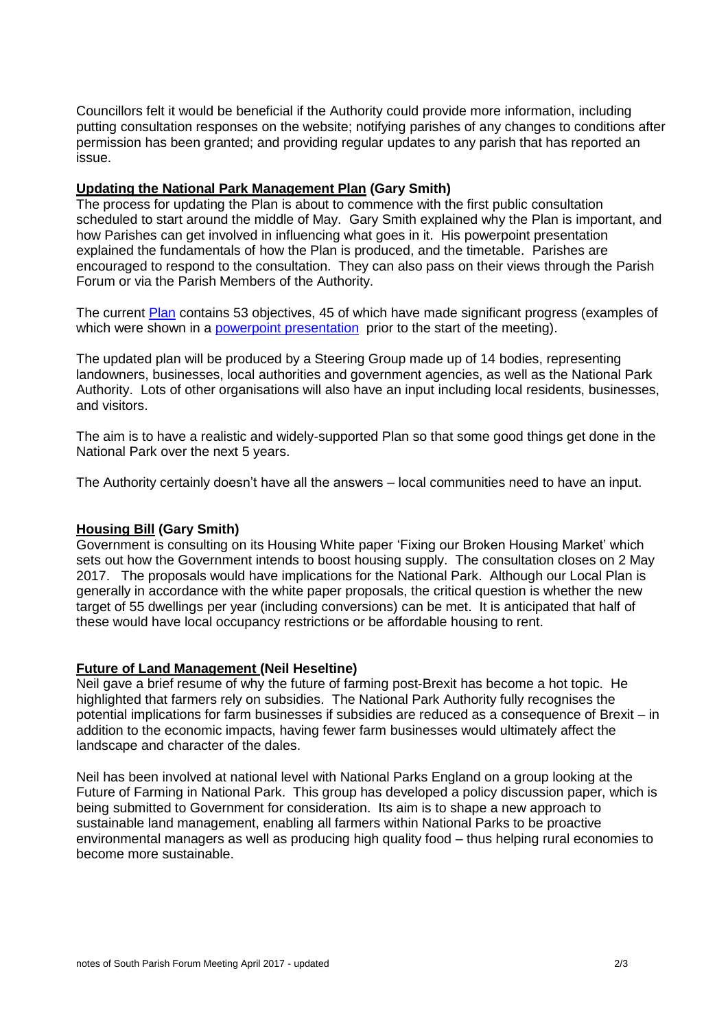Councillors felt it would be beneficial if the Authority could provide more information, including putting consultation responses on the website; notifying parishes of any changes to conditions after permission has been granted; and providing regular updates to any parish that has reported an issue.

## **Updating the National Park Management Plan (Gary Smith)**

The process for updating the Plan is about to commence with the first public consultation scheduled to start around the middle of May. Gary Smith explained why the Plan is important, and how Parishes can get involved in influencing what goes in it. His powerpoint presentation explained the fundamentals of how the Plan is produced, and the timetable. Parishes are encouraged to respond to the consultation. They can also pass on their views through the Parish Forum or via the Parish Members of the Authority.

The current [Plan](http://www.yorkshiredalesmanagementplan.org.uk/see-the-national-park-management-plan) contains 53 objectives, 45 of which have made significant progress (examples of which were shown in a powerpoint [presentation](http://www.yorkshiredales.org.uk/living-and-working/parish-councils-and-meetings/parish-forums/NPMP-achievements.pdf) prior to the start of the meeting).

The updated plan will be produced by a Steering Group made up of 14 bodies, representing landowners, businesses, local authorities and government agencies, as well as the National Park Authority. Lots of other organisations will also have an input including local residents, businesses, and visitors.

The aim is to have a realistic and widely-supported Plan so that some good things get done in the National Park over the next 5 years.

The Authority certainly doesn't have all the answers – local communities need to have an input.

# **Housing Bill (Gary Smith)**

Government is consulting on its Housing White paper 'Fixing our Broken Housing Market' which sets out how the Government intends to boost housing supply. The consultation closes on 2 May 2017. The proposals would have implications for the National Park. Although our Local Plan is generally in accordance with the white paper proposals, the critical question is whether the new target of 55 dwellings per year (including conversions) can be met. It is anticipated that half of these would have local occupancy restrictions or be affordable housing to rent.

### **Future of Land Management (Neil Heseltine)**

Neil gave a brief resume of why the future of farming post-Brexit has become a hot topic. He highlighted that farmers rely on subsidies. The National Park Authority fully recognises the potential implications for farm businesses if subsidies are reduced as a consequence of Brexit – in addition to the economic impacts, having fewer farm businesses would ultimately affect the landscape and character of the dales.

Neil has been involved at national level with National Parks England on a group looking at the Future of Farming in National Park. This group has developed a policy discussion paper, which is being submitted to Government for consideration. Its aim is to shape a new approach to sustainable land management, enabling all farmers within National Parks to be proactive environmental managers as well as producing high quality food – thus helping rural economies to become more sustainable.